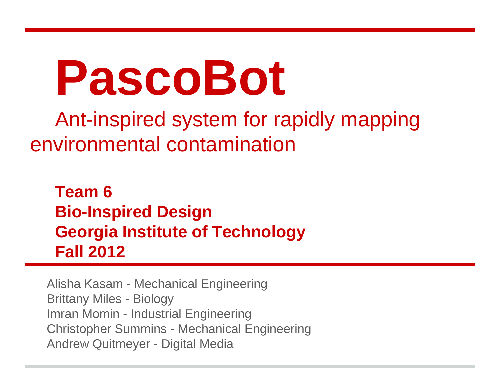# **PascoBot**

Ant-inspired system for rapidly mapping environmental contamination

**Team 6 Bio-Inspired Design Georgia Institute of Technology Fall 2012**

Alisha Kasam - Mechanical Engineering Brittany Miles - Biology Imran Momin - Industrial Engineering Christopher Summins - Mechanical Engineering Andrew Quitmeyer - Digital Media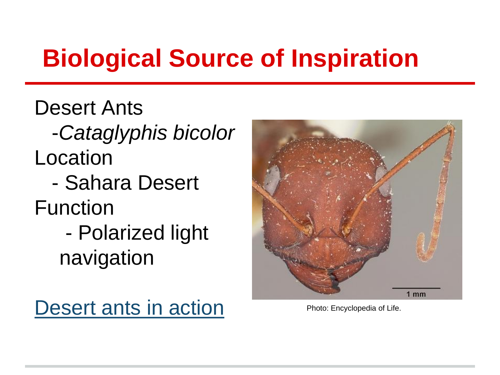#### **Biological Source of Inspiration**

Desert Ants -*Cataglyphis bicolor* Location

- Sahara Desert Function
	- Polarized light navigation

[Desert ants in action](http://www.youtube.com/watch?v=46noJXIrdVg&feature=youtu.be&t=1m9s) Photo: Encyclopedia of Life.

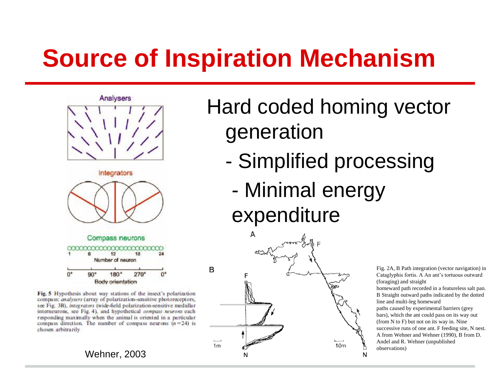#### **Source of Inspiration Mechanism**



Fig. 5 Hypothesis about way stations of the insect's polarization compass: analysers (array of polarization-sensitive photoreceptors, see Fig. 3B), integrators (wide-field polarization-sensitive medullar interneurons, see Fig. 4), and hypothetical compass neurons each responding maximally when the animal is oriented in a particular compass direction. The number of compass neurons  $(n=24)$  is chosen arbitrarily

Wehner, 2003

#### Hard coded homing vector generation

- Simplified processing
- Minimal energy expenditure



Fig. 2A, B Path integration (vector navigation) in Cataglyphis fortis. A An ant's tortuous outward (foraging) and straight homeward path recorded in a featureless salt pan.

B Straight outward paths indicated by the dotted line and multi-leg homeward paths caused by experimental barriers (grey bars), which the ant could pass on its way out (from N to F) but not on its way in. Nine successive runs of one ant. F feeding site, N nest. A from Wehner and Wehner (1990), B from D. Andel and R. Wehner (unpublished observations)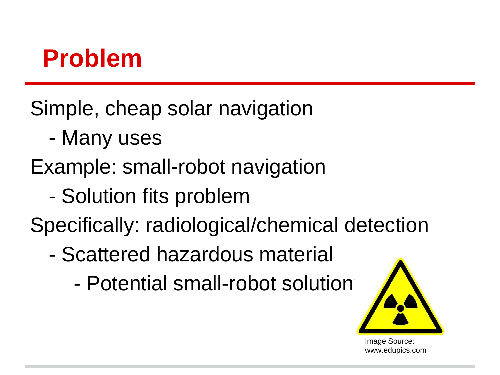#### **Problem**

Simple, cheap solar navigation

- Many uses
- Example: small-robot navigation
	- Solution fits problem

Specifically: radiological/chemical detection

- Scattered hazardous material
	- Potential small-robot solution?



Image Source: www.edupics.com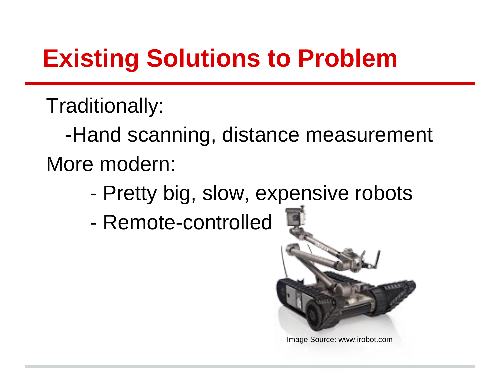#### **Existing Solutions to Problem**

Traditionally:

-Hand scanning, distance measurement More modern:

- Pretty big, slow, expensive robots
- Remote-controlled



Image Source: www.irobot.com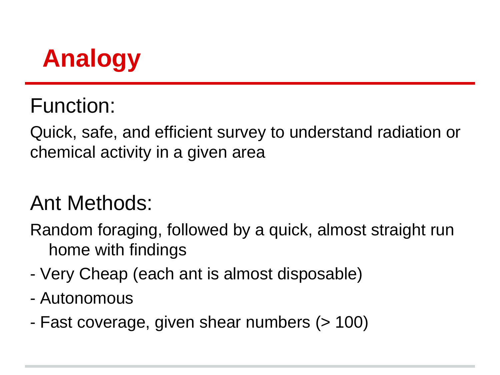# **Analogy**

#### Function:

Quick, safe, and efficient survey to understand radiation or chemical activity in a given area

#### Ant Methods:

Random foraging, followed by a quick, almost straight run home with findings

- Very Cheap (each ant is almost disposable)
- Autonomous
- Fast coverage, given shear numbers (> 100)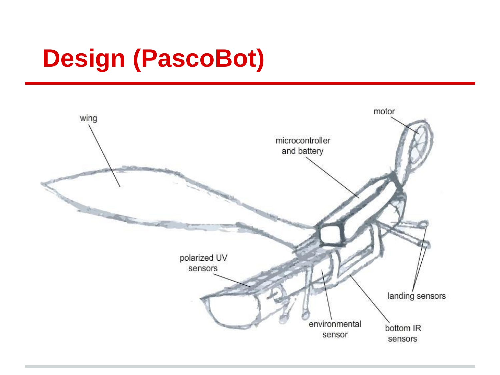### **Design (PascoBot)**

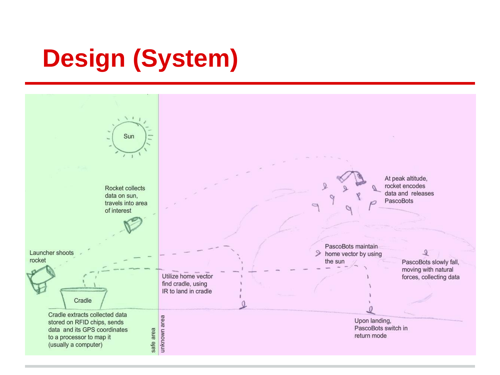# **Design (System)**

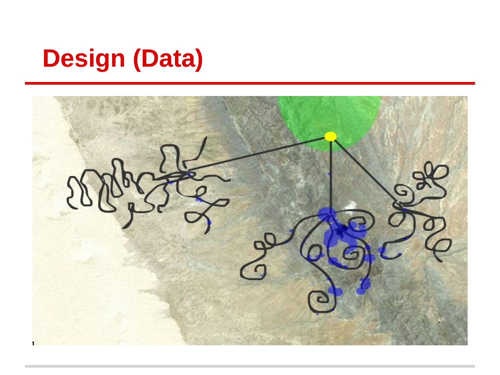#### **Design (Data)**

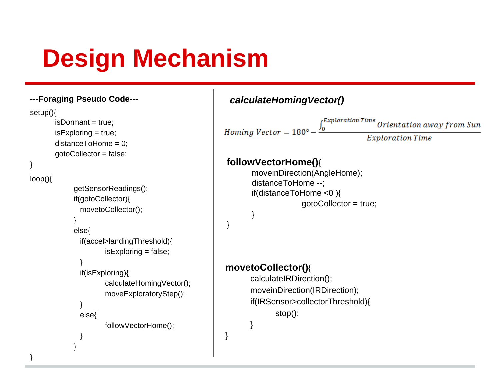## **Design Mechanism**

```
---Foraging Pseudo Code---
                                                       calculateHomingVector()
setup(){
                                                                                 Exploration Time
      isDormant = true;
                                                                                               Orientation away from Sun
                                                     Homing Vector = 180^\circ -
      isExploring = true;Exploration Time
      distanceToHome = 0;
      gotoCollector = false;
                                                      followVectorHome(){
}
                                                             moveinDirection(AngleHome);
loop(){
                                                             distanceToHome --;
            getSensorReadings();
                                                             if(distanceToHome <0 ){
            if(gotoCollector){
                                                                           gotoCollector = true;
             movetoCollector();
                                                             }
            }
                                                      }else{
             if(accel>landingThreshold){
                    isExploring = false;
              }
                                                      movetoCollector(){
             if(isExploring){
                                                            calculateIRDirection();
                    calculateHomingVector();
                                                            moveinDirection(IRDirection);
                    moveExploratoryStep();
                                                            if(IRSensor>collectorThreshold){
             }
                                                                   stop();
             else{
                    followVectorHome();
                                                             }
              }
                                                      }
            }
}
```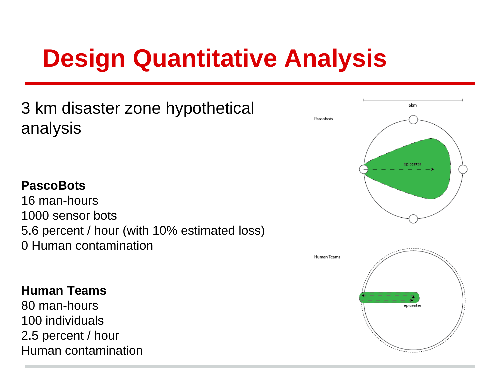## **Design Quantitative Analysis**

3 km disaster zone hypothetical analysis

#### **PascoBots**

16 man-hours 1000 sensor bots 5.6 percent / hour (with 10% estimated loss) 0 Human contamination

#### **Human Teams**

80 man-hours 100 individuals 2.5 percent / hour Human contamination

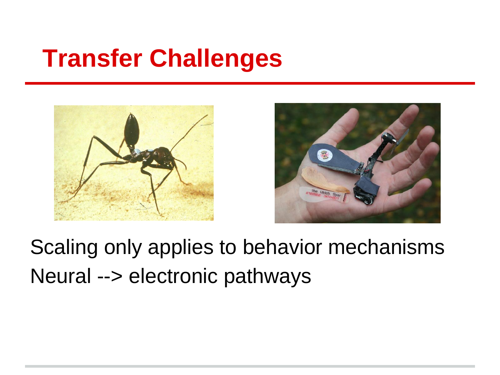#### **Transfer Challenges**





Scaling only applies to behavior mechanisms Neural --> electronic pathways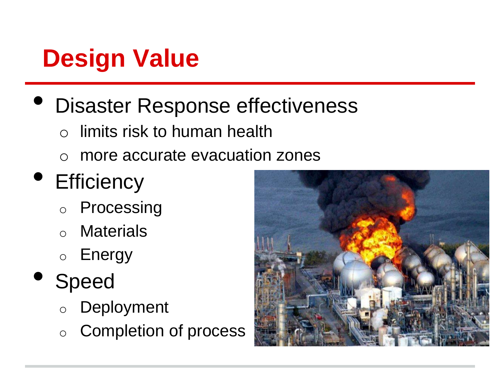#### **Design Value**

- Disaster Response effectiveness
	- $\circ$  limits risk to human health
	- more accurate evacuation zones

## • Efficiency

- o Processing
- o Materials
- o Energy
- Speed
	- o Deployment
	- Completion of process

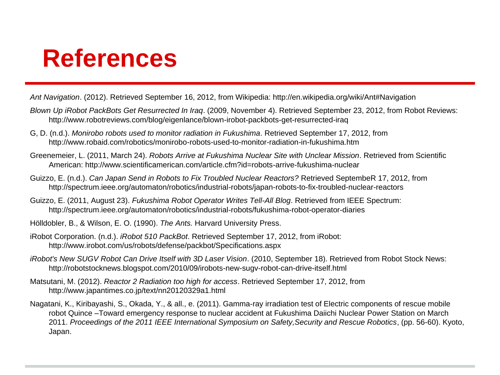#### **References**

*Ant Navigation*. (2012). Retrieved September 16, 2012, from Wikipedia: http://en.wikipedia.org/wiki/Ant#Navigation

- *Blown Up iRobot PackBots Get Resurrected In Iraq*. (2009, November 4). Retrieved September 23, 2012, from Robot Reviews: http://www.robotreviews.com/blog/eigenlance/blown-irobot-packbots-get-resurrected-iraq
- G, D. (n.d.). *Monirobo robots used to monitor radiation in Fukushima*. Retrieved September 17, 2012, from http://www.robaid.com/robotics/monirobo-robots-used-to-monitor-radiation-in-fukushima.htm
- Greenemeier, L. (2011, March 24). *Robots Arrive at Fukushima Nuclear Site with Unclear Mission*. Retrieved from Scientific American: http://www.scientificamerican.com/article.cfm?id=robots-arrive-fukushima-nuclear
- Guizzo, E. (n.d.). *Can Japan Send in Robots to Fix Troubled Nuclear Reactors?* Retrieved SeptembeR 17, 2012, from http://spectrum.ieee.org/automaton/robotics/industrial-robots/japan-robots-to-fix-troubled-nuclear-reactors
- Guizzo, E. (2011, August 23). *Fukushima Robot Operator Writes Tell-All Blog*. Retrieved from IEEE Spectrum: http://spectrum.ieee.org/automaton/robotics/industrial-robots/fukushima-robot-operator-diaries
- Hölldobler, B., & Wilson, E. O. (1990). *The Ants.* Harvard University Press.
- iRobot Corporation. (n.d.). *iRobot 510 PackBot*. Retrieved September 17, 2012, from iRobot: http://www.irobot.com/us/robots/defense/packbot/Specifications.aspx
- *iRobot's New SUGV Robot Can Drive Itself with 3D Laser Vision*. (2010, September 18). Retrieved from Robot Stock News: http://robotstocknews.blogspot.com/2010/09/irobots-new-sugv-robot-can-drive-itself.html
- Matsutani, M. (2012). *Reactor 2 Radiation too high for access*. Retrieved September 17, 2012, from http://www.japantimes.co.jp/text/nn20120329a1.html
- Nagatani, K., Kiribayashi, S., Okada, Y., & all., e. (2011). Gamma-ray irradiation test of Electric components of rescue mobile robot Quince –Toward emergency response to nuclear accident at Fukushima Daiichi Nuclear Power Station on March 2011. *Proceedings of the 2011 IEEE International Symposium on Safety,Security and Rescue Robotics*, (pp. 56-60). Kyoto, Japan.